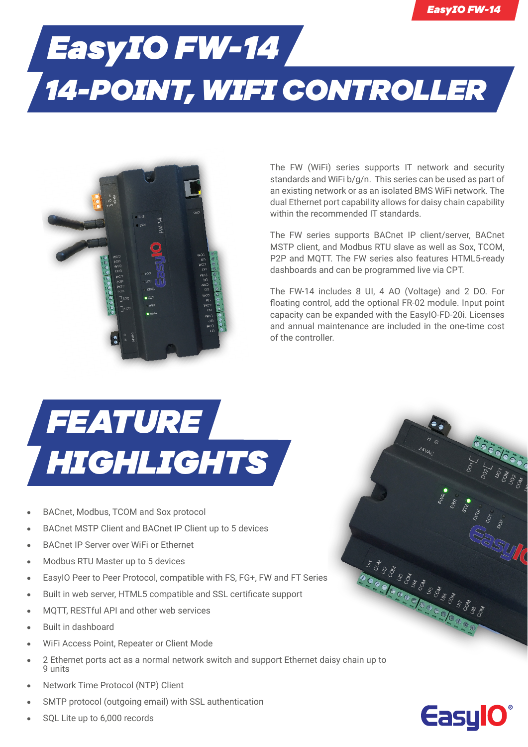## *EasyIO FW-14 14-POINT, WIFI CONTROLLER*



The FW (WiFi) series supports IT network and security standards and WiFi b/g/n. This series can be used as part of an existing network or as an isolated BMS WiFi network. The dual Ethernet port capability allows for daisy chain capability within the recommended IT standards.

The FW series supports BACnet IP client/server, BACnet MSTP client, and Modbus RTU slave as well as Sox, TCOM, P2P and MQTT. The FW series also features HTML5-ready dashboards and can be programmed live via CPT.

The FW-14 includes 8 UI, 4 AO (Voltage) and 2 DO. For floating control, add the optional FR-02 module. Input point capacity can be expanded with the EasyIO-FD-20i. Licenses and annual maintenance are included in the one-time cost of the controller.

## *FEATURE HIGHLIGHTS*

- **•** BACnet, Modbus, TCOM and Sox protocol
- **•** BACnet MSTP Client and BACnet IP Client up to 5 devices
- **•** BACnet IP Server over WiFi or Ethernet
- **•** Modbus RTU Master up to 5 devices
- **•** EasyIO Peer to Peer Protocol, compatible with FS, FG+, FW and FT Series
- **•** Built in web server, HTML5 compatible and SSL certificate support
- **•** MQTT, RESTful API and other web services
- **•** Built in dashboard
- **•** WiFi Access Point, Repeater or Client Mode
- **•** 2 Ethernet ports act as a normal network switch and support Ethernet daisy chain up to 9 units
- **•** Network Time Protocol (NTP) Client
- **•** SMTP protocol (outgoing email) with SSL authentication
- **•** SQL Lite up to 6,000 records